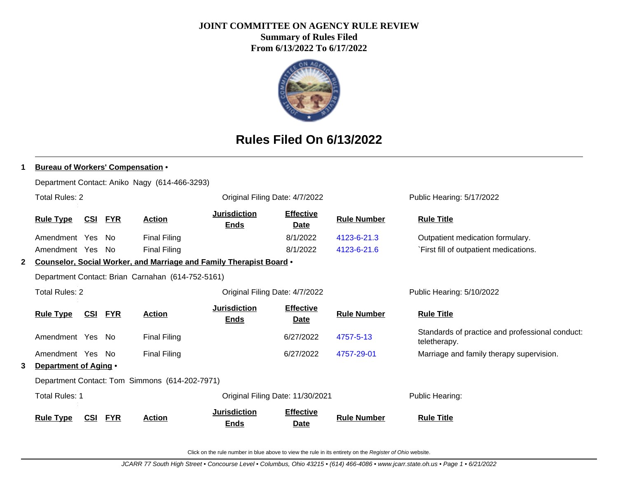# **JOINT COMMITTEE ON AGENCY RULE REVIEW**

**Summary of Rules Filed From 6/13/2022 To 6/17/2022**



# **Rules Filed On 6/13/2022**

|   | <b>Bureau of Workers' Compensation •</b>       |            |            |                                                   |                                                                     |                                 |                    |                                                                 |  |  |  |
|---|------------------------------------------------|------------|------------|---------------------------------------------------|---------------------------------------------------------------------|---------------------------------|--------------------|-----------------------------------------------------------------|--|--|--|
|   | Department Contact: Aniko Nagy (614-466-3293)  |            |            |                                                   |                                                                     |                                 |                    |                                                                 |  |  |  |
|   | <b>Total Rules: 2</b>                          |            |            |                                                   | Original Filing Date: 4/7/2022                                      |                                 |                    | Public Hearing: 5/17/2022                                       |  |  |  |
|   | <b>Rule Type</b>                               | <u>CSI</u> | <u>FYR</u> | <b>Action</b>                                     | <b>Jurisdiction</b><br><b>Ends</b>                                  | <b>Effective</b><br><b>Date</b> | <b>Rule Number</b> | <b>Rule Title</b>                                               |  |  |  |
|   | Amendment Yes                                  |            | No.        | Final Filing                                      |                                                                     | 8/1/2022                        | 4123-6-21.3        | Outpatient medication formulary.                                |  |  |  |
|   | Amendment Yes No                               |            |            | <b>Final Filing</b>                               |                                                                     | 8/1/2022                        | 4123-6-21.6        | First fill of outpatient medications.                           |  |  |  |
| 2 |                                                |            |            |                                                   | Counselor, Social Worker, and Marriage and Family Therapist Board . |                                 |                    |                                                                 |  |  |  |
|   |                                                |            |            | Department Contact: Brian Carnahan (614-752-5161) |                                                                     |                                 |                    |                                                                 |  |  |  |
|   | <b>Total Rules: 2</b>                          |            |            |                                                   | Original Filing Date: 4/7/2022                                      |                                 |                    | Public Hearing: 5/10/2022                                       |  |  |  |
|   | <b>Rule Type</b>                               | <u>CSI</u> | <b>FYR</b> | <b>Action</b>                                     | <b>Jurisdiction</b><br><b>Ends</b>                                  | <b>Effective</b><br><b>Date</b> | <b>Rule Number</b> | <b>Rule Title</b>                                               |  |  |  |
|   | Amendment Yes No                               |            |            | <b>Final Filing</b>                               |                                                                     | 6/27/2022                       | 4757-5-13          | Standards of practice and professional conduct:<br>teletherapy. |  |  |  |
|   | Amendment Yes No                               |            |            | <b>Final Filing</b>                               |                                                                     | 6/27/2022                       | 4757-29-01         | Marriage and family therapy supervision.                        |  |  |  |
| 3 | Department of Aging .                          |            |            |                                                   |                                                                     |                                 |                    |                                                                 |  |  |  |
|   | Department Contact: Tom Simmons (614-202-7971) |            |            |                                                   |                                                                     |                                 |                    |                                                                 |  |  |  |
|   | <b>Total Rules: 1</b>                          |            |            |                                                   | Original Filing Date: 11/30/2021                                    |                                 |                    | Public Hearing:                                                 |  |  |  |
|   | <b>Rule Type</b>                               | <b>CSI</b> | <b>FYR</b> | Action                                            | <b>Jurisdiction</b><br><b>Ends</b>                                  | <b>Effective</b><br><b>Date</b> | <b>Rule Number</b> | <b>Rule Title</b>                                               |  |  |  |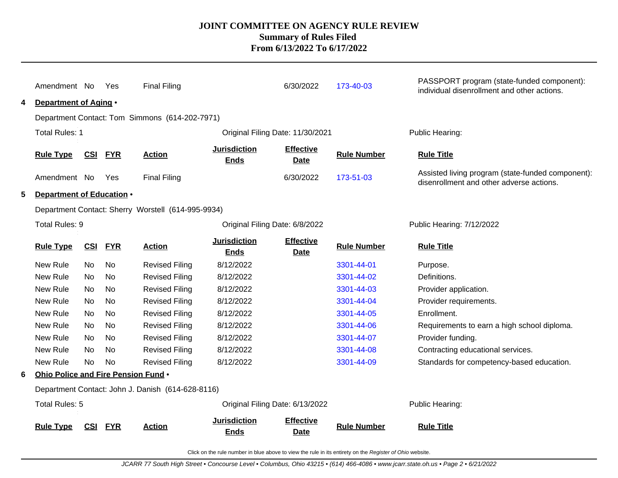| 4 | Amendment No<br>Department of Aging • |            | Yes        | <b>Final Filing</b>                                |                                    | 6/30/2022                        | 173-40-03          | PASSPORT program (state-funded component):<br>individual disenrollment and other actions.     |
|---|---------------------------------------|------------|------------|----------------------------------------------------|------------------------------------|----------------------------------|--------------------|-----------------------------------------------------------------------------------------------|
|   |                                       |            |            | Department Contact: Tom Simmons (614-202-7971)     |                                    |                                  |                    |                                                                                               |
|   | <b>Total Rules: 1</b>                 |            |            |                                                    |                                    | Original Filing Date: 11/30/2021 |                    | Public Hearing:                                                                               |
|   | <b>Rule Type</b>                      | <b>CSI</b> | <b>FYR</b> | <b>Action</b>                                      | <b>Jurisdiction</b><br><b>Ends</b> | <b>Effective</b><br>Date         | <b>Rule Number</b> | <b>Rule Title</b>                                                                             |
|   | Amendment No                          |            | Yes        | <b>Final Filing</b>                                |                                    | 6/30/2022                        | 173-51-03          | Assisted living program (state-funded component):<br>disenrollment and other adverse actions. |
| 5 | Department of Education .             |            |            |                                                    |                                    |                                  |                    |                                                                                               |
|   |                                       |            |            | Department Contact: Sherry Worstell (614-995-9934) |                                    |                                  |                    |                                                                                               |
|   | Total Rules: 9                        |            |            |                                                    | Original Filing Date: 6/8/2022     |                                  |                    | Public Hearing: 7/12/2022                                                                     |
|   | <b>Rule Type</b>                      | CSI        | <b>FYR</b> | <b>Action</b>                                      | <b>Jurisdiction</b><br><b>Ends</b> | <b>Effective</b><br>Date         | <b>Rule Number</b> | <b>Rule Title</b>                                                                             |
|   | New Rule                              | No         | No         | <b>Revised Filing</b>                              | 8/12/2022                          |                                  | 3301-44-01         | Purpose.                                                                                      |
|   | New Rule                              | No         | <b>No</b>  | <b>Revised Filing</b>                              | 8/12/2022                          |                                  | 3301-44-02         | Definitions.                                                                                  |
|   | New Rule                              | No.        | No         | <b>Revised Filing</b>                              | 8/12/2022                          |                                  | 3301-44-03         | Provider application.                                                                         |
|   | New Rule                              | No.        | No         | <b>Revised Filing</b>                              | 8/12/2022                          |                                  | 3301-44-04         | Provider requirements.                                                                        |
|   | New Rule                              | No.        | No         | <b>Revised Filing</b>                              | 8/12/2022                          |                                  | 3301-44-05         | Enrollment.                                                                                   |
|   | New Rule                              | No.        | No         | <b>Revised Filing</b>                              | 8/12/2022                          |                                  | 3301-44-06         | Requirements to earn a high school diploma.                                                   |
|   | New Rule                              | No.        | No         | <b>Revised Filing</b>                              | 8/12/2022                          |                                  | 3301-44-07         | Provider funding.                                                                             |
|   | New Rule                              | No.        | No         | <b>Revised Filing</b>                              | 8/12/2022                          |                                  | 3301-44-08         | Contracting educational services.                                                             |
|   | New Rule                              | No.        | No         | <b>Revised Filing</b>                              | 8/12/2022                          |                                  | 3301-44-09         | Standards for competency-based education.                                                     |
| 6 | Ohio Police and Fire Pension Fund .   |            |            |                                                    |                                    |                                  |                    |                                                                                               |
|   |                                       |            |            | Department Contact: John J. Danish (614-628-8116)  |                                    |                                  |                    |                                                                                               |
|   | Total Rules: 5                        |            |            |                                                    |                                    | Original Filing Date: 6/13/2022  |                    | Public Hearing:                                                                               |
|   | <b>Rule Type</b>                      | CSI        | <b>FYR</b> | <b>Action</b>                                      | <b>Jurisdiction</b><br><b>Ends</b> | <b>Effective</b><br><b>Date</b>  | <b>Rule Number</b> | <b>Rule Title</b>                                                                             |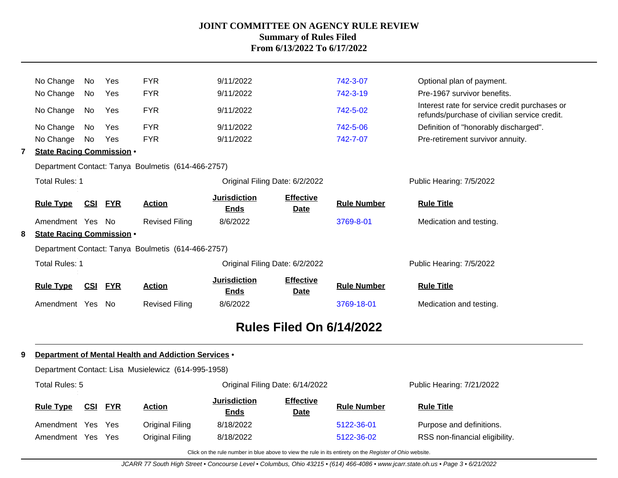|   | No Change                        | No.        | Yes        | <b>FYR</b>                                         | 9/11/2022                          |                                 | 742-3-07                        | Optional plan of payment.                                                                     |
|---|----------------------------------|------------|------------|----------------------------------------------------|------------------------------------|---------------------------------|---------------------------------|-----------------------------------------------------------------------------------------------|
|   | No Change                        | No         | Yes        | <b>FYR</b>                                         | 9/11/2022                          |                                 | 742-3-19                        | Pre-1967 survivor benefits.                                                                   |
|   | No Change                        | No         | Yes        | <b>FYR</b>                                         | 9/11/2022                          |                                 | 742-5-02                        | Interest rate for service credit purchases or<br>refunds/purchase of civilian service credit. |
|   | No Change                        | No         | Yes        | <b>FYR</b>                                         | 9/11/2022                          |                                 | 742-5-06                        | Definition of "honorably discharged".                                                         |
|   | No Change                        | No         | Yes        | <b>FYR</b>                                         | 9/11/2022                          |                                 | 742-7-07                        | Pre-retirement survivor annuity.                                                              |
| 7 | <b>State Racing Commission .</b> |            |            |                                                    |                                    |                                 |                                 |                                                                                               |
|   |                                  |            |            | Department Contact: Tanya Boulmetis (614-466-2757) |                                    |                                 |                                 |                                                                                               |
|   | <b>Total Rules: 1</b>            |            |            |                                                    | Original Filing Date: 6/2/2022     |                                 |                                 | Public Hearing: 7/5/2022                                                                      |
|   | <b>Rule Type</b>                 | CSI        | <b>FYR</b> | <b>Action</b>                                      | <b>Jurisdiction</b><br><b>Ends</b> | <b>Effective</b><br><b>Date</b> | <b>Rule Number</b>              | <b>Rule Title</b>                                                                             |
|   | Amendment Yes                    |            | - No       | <b>Revised Filing</b>                              | 8/6/2022                           |                                 | 3769-8-01                       | Medication and testing.                                                                       |
| 8 | <b>State Racing Commission .</b> |            |            |                                                    |                                    |                                 |                                 |                                                                                               |
|   |                                  |            |            | Department Contact: Tanya Boulmetis (614-466-2757) |                                    |                                 |                                 |                                                                                               |
|   | <b>Total Rules: 1</b>            |            |            |                                                    | Original Filing Date: 6/2/2022     |                                 |                                 | Public Hearing: 7/5/2022                                                                      |
|   | <b>Rule Type</b>                 | <u>CSI</u> | <b>FYR</b> | <b>Action</b>                                      | <b>Jurisdiction</b><br><b>Ends</b> | <b>Effective</b><br><b>Date</b> | <b>Rule Number</b>              | <b>Rule Title</b>                                                                             |
|   | Amendment Yes                    |            | - No       | <b>Revised Filing</b>                              | 8/6/2022                           |                                 | 3769-18-01                      | Medication and testing.                                                                       |
|   |                                  |            |            |                                                    |                                    |                                 | <b>Rules Filed On 6/14/2022</b> |                                                                                               |

#### **9 Department of Mental Health and Addiction Services** •

| Department Contact: Lisa Musielewicz (614-995-1958) |            |            |                 |                                    |                                 |                           |                                |  |  |  |
|-----------------------------------------------------|------------|------------|-----------------|------------------------------------|---------------------------------|---------------------------|--------------------------------|--|--|--|
| Total Rules: 5                                      |            |            |                 |                                    | Original Filing Date: 6/14/2022 | Public Hearing: 7/21/2022 |                                |  |  |  |
| <b>Rule Type</b>                                    | <u>CSI</u> | <b>FYR</b> | <b>Action</b>   | <b>Jurisdiction</b><br><b>Ends</b> | <b>Effective</b><br><b>Date</b> | <b>Rule Number</b>        | <b>Rule Title</b>              |  |  |  |
| Amendment                                           | Yes.       | <b>Yes</b> | Original Filing | 8/18/2022                          |                                 | 5122-36-01                | Purpose and definitions.       |  |  |  |
| Amendment                                           | Yes        | Yes        | Original Filing | 8/18/2022                          |                                 | 5122-36-02                | RSS non-financial eligibility. |  |  |  |

Click on the rule number in blue above to view the rule in its entirety on the Register of Ohio website.

JCARR 77 South High Street • Concourse Level • Columbus, Ohio 43215 • (614) 466-4086 • www.jcarr.state.oh.us • Page 3 • 6/21/2022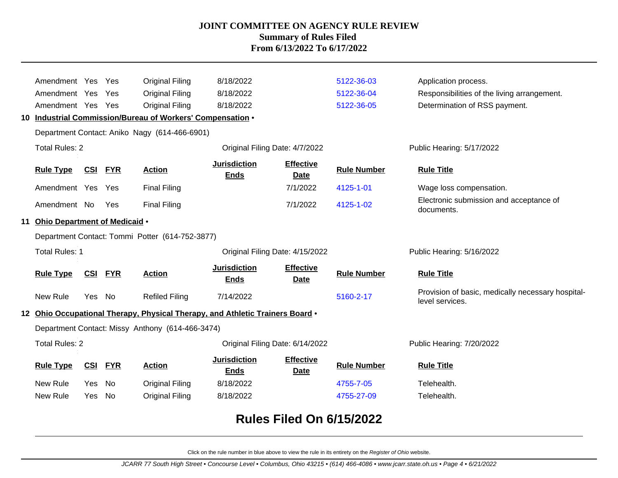| Amendment Yes                    |            | Yes        | <b>Original Filing</b>                                                        | 8/18/2022                          |                                 | 5122-36-03         | Application process.                                                 |
|----------------------------------|------------|------------|-------------------------------------------------------------------------------|------------------------------------|---------------------------------|--------------------|----------------------------------------------------------------------|
| Amendment Yes                    |            | Yes        | Original Filing                                                               | 8/18/2022                          |                                 | 5122-36-04         | Responsibilities of the living arrangement.                          |
| Amendment Yes Yes                |            |            | <b>Original Filing</b>                                                        | 8/18/2022                          |                                 | 5122-36-05         | Determination of RSS payment.                                        |
|                                  |            |            | 10 Industrial Commission/Bureau of Workers' Compensation .                    |                                    |                                 |                    |                                                                      |
|                                  |            |            | Department Contact: Aniko Nagy (614-466-6901)                                 |                                    |                                 |                    |                                                                      |
| <b>Total Rules: 2</b>            |            |            |                                                                               |                                    | Original Filing Date: 4/7/2022  |                    | Public Hearing: 5/17/2022                                            |
| <b>Rule Type</b>                 | <b>CSI</b> | <b>FYR</b> | <b>Action</b>                                                                 | <b>Jurisdiction</b><br><b>Ends</b> | <b>Effective</b><br><b>Date</b> | <b>Rule Number</b> | <b>Rule Title</b>                                                    |
| Amendment Yes Yes                |            |            | <b>Final Filing</b>                                                           |                                    | 7/1/2022                        | 4125-1-01          | Wage loss compensation.                                              |
| Amendment No                     |            | Yes        | <b>Final Filing</b>                                                           |                                    | 7/1/2022                        | 4125-1-02          | Electronic submission and acceptance of<br>documents.                |
| 11 Ohio Department of Medicaid . |            |            |                                                                               |                                    |                                 |                    |                                                                      |
|                                  |            |            | Department Contact: Tommi Potter (614-752-3877)                               |                                    |                                 |                    |                                                                      |
|                                  |            |            |                                                                               | Original Filing Date: 4/15/2022    |                                 |                    |                                                                      |
| <b>Total Rules: 1</b>            |            |            |                                                                               |                                    |                                 |                    | Public Hearing: 5/16/2022                                            |
| <b>Rule Type</b>                 | CSI        | <b>FYR</b> | <b>Action</b>                                                                 | <b>Jurisdiction</b><br><b>Ends</b> | <b>Effective</b><br><b>Date</b> | <b>Rule Number</b> | <b>Rule Title</b>                                                    |
| New Rule                         | Yes No     |            | <b>Refiled Filing</b>                                                         | 7/14/2022                          |                                 | 5160-2-17          | Provision of basic, medically necessary hospital-<br>level services. |
|                                  |            |            | 12 Ohio Occupational Therapy, Physical Therapy, and Athletic Trainers Board . |                                    |                                 |                    |                                                                      |
|                                  |            |            | Department Contact: Missy Anthony (614-466-3474)                              |                                    |                                 |                    |                                                                      |
| <b>Total Rules: 2</b>            |            |            |                                                                               |                                    | Original Filing Date: 6/14/2022 |                    | Public Hearing: 7/20/2022                                            |
| <b>Rule Type</b>                 | CSI        | <b>FYR</b> | <b>Action</b>                                                                 | <b>Jurisdiction</b><br><b>Ends</b> | <b>Effective</b><br>Date        | <b>Rule Number</b> | <b>Rule Title</b>                                                    |
| New Rule                         | Yes        | No         | Original Filing                                                               | 8/18/2022                          |                                 | 4755-7-05          | Telehealth.                                                          |
| New Rule                         | Yes.       | No         | <b>Original Filing</b>                                                        | 8/18/2022                          |                                 | 4755-27-09         | Telehealth.                                                          |

# **Rules Filed On 6/15/2022**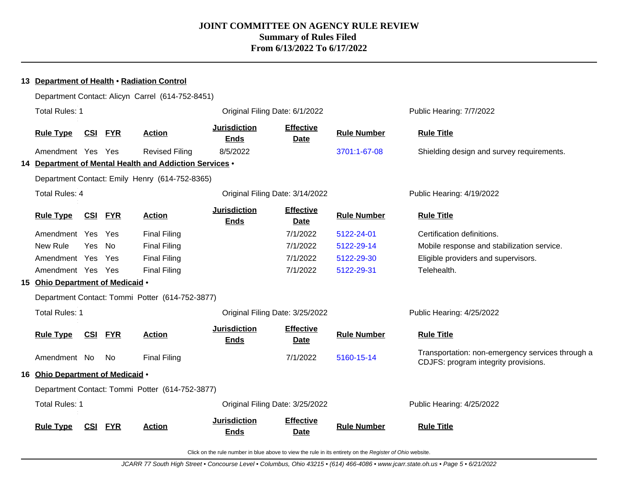|                                                  |            |            | 13 Department of Health . Radiation Control             |                                    |                                 |                    |                                                                                          |
|--------------------------------------------------|------------|------------|---------------------------------------------------------|------------------------------------|---------------------------------|--------------------|------------------------------------------------------------------------------------------|
| Department Contact: Alicyn Carrel (614-752-8451) |            |            |                                                         |                                    |                                 |                    |                                                                                          |
| <b>Total Rules: 1</b>                            |            |            |                                                         |                                    | Original Filing Date: 6/1/2022  |                    | Public Hearing: 7/7/2022                                                                 |
| <b>Rule Type</b>                                 | <u>CSI</u> | <b>FYR</b> | <b>Action</b>                                           | <b>Jurisdiction</b><br><b>Ends</b> | <b>Effective</b><br><b>Date</b> | <b>Rule Number</b> | <b>Rule Title</b>                                                                        |
| Amendment Yes Yes                                |            |            | <b>Revised Filing</b>                                   | 8/5/2022                           |                                 | 3701:1-67-08       | Shielding design and survey requirements.                                                |
|                                                  |            |            | 14 Department of Mental Health and Addiction Services . |                                    |                                 |                    |                                                                                          |
|                                                  |            |            | Department Contact: Emily Henry (614-752-8365)          |                                    |                                 |                    |                                                                                          |
| Total Rules: 4                                   |            |            |                                                         |                                    | Original Filing Date: 3/14/2022 |                    | Public Hearing: 4/19/2022                                                                |
| <b>Rule Type</b>                                 | <u>CSI</u> | <b>FYR</b> | <b>Action</b>                                           | <b>Jurisdiction</b><br><b>Ends</b> | <b>Effective</b><br><b>Date</b> | <b>Rule Number</b> | <b>Rule Title</b>                                                                        |
| Amendment Yes                                    |            | Yes        | <b>Final Filing</b>                                     |                                    | 7/1/2022                        | 5122-24-01         | Certification definitions.                                                               |
| New Rule                                         | <b>Yes</b> | No         | <b>Final Filing</b>                                     |                                    | 7/1/2022                        | 5122-29-14         | Mobile response and stabilization service.                                               |
| Amendment Yes                                    |            | Yes        | <b>Final Filing</b>                                     |                                    | 7/1/2022                        | 5122-29-30         | Eligible providers and supervisors.                                                      |
| Amendment Yes                                    |            | Yes        | <b>Final Filing</b>                                     |                                    | 7/1/2022                        | 5122-29-31         | Telehealth.                                                                              |
| 15 Ohio Department of Medicaid .                 |            |            |                                                         |                                    |                                 |                    |                                                                                          |
|                                                  |            |            | Department Contact: Tommi Potter (614-752-3877)         |                                    |                                 |                    |                                                                                          |
| <b>Total Rules: 1</b>                            |            |            |                                                         |                                    | Original Filing Date: 3/25/2022 |                    | Public Hearing: 4/25/2022                                                                |
| <b>Rule Type</b>                                 | <u>CSI</u> | <b>FYR</b> | <b>Action</b>                                           | <b>Jurisdiction</b><br><b>Ends</b> | <b>Effective</b><br><b>Date</b> | <b>Rule Number</b> | <b>Rule Title</b>                                                                        |
| Amendment No                                     |            | No         | <b>Final Filing</b>                                     |                                    | 7/1/2022                        | 5160-15-14         | Transportation: non-emergency services through a<br>CDJFS: program integrity provisions. |
| 16 Ohio Department of Medicaid .                 |            |            |                                                         |                                    |                                 |                    |                                                                                          |
|                                                  |            |            | Department Contact: Tommi Potter (614-752-3877)         |                                    |                                 |                    |                                                                                          |
| <b>Total Rules: 1</b>                            |            |            |                                                         |                                    | Original Filing Date: 3/25/2022 |                    | Public Hearing: 4/25/2022                                                                |
| <b>Rule Type</b>                                 | <b>CSI</b> | <b>FYR</b> | <b>Action</b>                                           | <b>Jurisdiction</b><br><b>Ends</b> | <b>Effective</b><br><b>Date</b> | <b>Rule Number</b> | <b>Rule Title</b>                                                                        |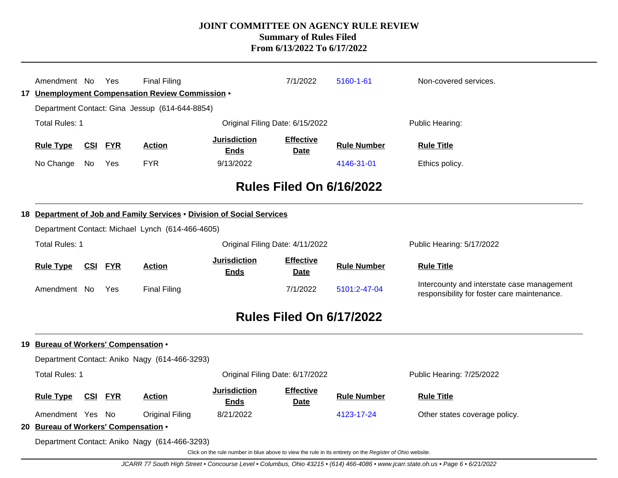| Amendment No                                             |            | Yes        | <b>Final Filing</b>                                                    |                                                                                                          | 7/1/2022                        | 5160-1-61          | Non-covered services.                                                                     |  |  |  |  |
|----------------------------------------------------------|------------|------------|------------------------------------------------------------------------|----------------------------------------------------------------------------------------------------------|---------------------------------|--------------------|-------------------------------------------------------------------------------------------|--|--|--|--|
| 17 Unemployment Compensation Review Commission .         |            |            |                                                                        |                                                                                                          |                                 |                    |                                                                                           |  |  |  |  |
| Department Contact: Gina Jessup (614-644-8854)           |            |            |                                                                        |                                                                                                          |                                 |                    |                                                                                           |  |  |  |  |
| <b>Total Rules: 1</b>                                    |            |            |                                                                        | Original Filing Date: 6/15/2022                                                                          | Public Hearing:                 |                    |                                                                                           |  |  |  |  |
| <b>Rule Type</b>                                         | CSI        | <b>FYR</b> | <b>Action</b>                                                          | <b>Jurisdiction</b><br><b>Ends</b>                                                                       | <b>Effective</b><br><b>Date</b> | <b>Rule Number</b> | <b>Rule Title</b>                                                                         |  |  |  |  |
| No Change                                                | No         | <b>Yes</b> | <b>FYR</b>                                                             | 9/13/2022                                                                                                |                                 | 4146-31-01         | Ethics policy.                                                                            |  |  |  |  |
|                                                          |            |            |                                                                        |                                                                                                          | <b>Rules Filed On 6/16/2022</b> |                    |                                                                                           |  |  |  |  |
|                                                          |            |            | 18 Department of Job and Family Services . Division of Social Services |                                                                                                          |                                 |                    |                                                                                           |  |  |  |  |
|                                                          |            |            | Department Contact: Michael Lynch (614-466-4605)                       |                                                                                                          |                                 |                    |                                                                                           |  |  |  |  |
| <b>Total Rules: 1</b>                                    |            |            |                                                                        | Original Filing Date: 4/11/2022                                                                          | Public Hearing: 5/17/2022       |                    |                                                                                           |  |  |  |  |
| <b>Rule Type</b>                                         | <u>CSI</u> | <b>FYR</b> | <b>Action</b>                                                          | <b>Jurisdiction</b><br><b>Ends</b>                                                                       | <b>Effective</b><br><b>Date</b> | <b>Rule Number</b> | <b>Rule Title</b>                                                                         |  |  |  |  |
| Amendment No                                             |            | <b>Yes</b> | <b>Final Filing</b>                                                    |                                                                                                          | 7/1/2022                        | 5101:2-47-04       | Intercounty and interstate case management<br>responsibility for foster care maintenance. |  |  |  |  |
|                                                          |            |            |                                                                        |                                                                                                          | <b>Rules Filed On 6/17/2022</b> |                    |                                                                                           |  |  |  |  |
| 19 Bureau of Workers' Compensation .                     |            |            |                                                                        |                                                                                                          |                                 |                    |                                                                                           |  |  |  |  |
|                                                          |            |            | Department Contact: Aniko Nagy (614-466-3293)                          |                                                                                                          |                                 |                    |                                                                                           |  |  |  |  |
| <b>Total Rules: 1</b><br>Original Filing Date: 6/17/2022 |            |            |                                                                        |                                                                                                          |                                 |                    | Public Hearing: 7/25/2022                                                                 |  |  |  |  |
| <b>Rule Type</b>                                         |            | CSI FYR    | <b>Action</b>                                                          | <b>Jurisdiction</b><br><b>Ends</b>                                                                       | <b>Effective</b><br><b>Date</b> | <b>Rule Number</b> | <b>Rule Title</b>                                                                         |  |  |  |  |
| Amendment Yes No                                         |            |            | <b>Original Filing</b>                                                 | 8/21/2022                                                                                                |                                 | 4123-17-24         | Other states coverage policy.                                                             |  |  |  |  |
| 20 Bureau of Workers' Compensation .                     |            |            |                                                                        |                                                                                                          |                                 |                    |                                                                                           |  |  |  |  |
|                                                          |            |            | Department Contact: Aniko Nagy (614-466-3293)                          |                                                                                                          |                                 |                    |                                                                                           |  |  |  |  |
|                                                          |            |            |                                                                        | Click on the rule number in blue above to view the rule in its entirety on the Register of Ohio website. |                                 |                    |                                                                                           |  |  |  |  |